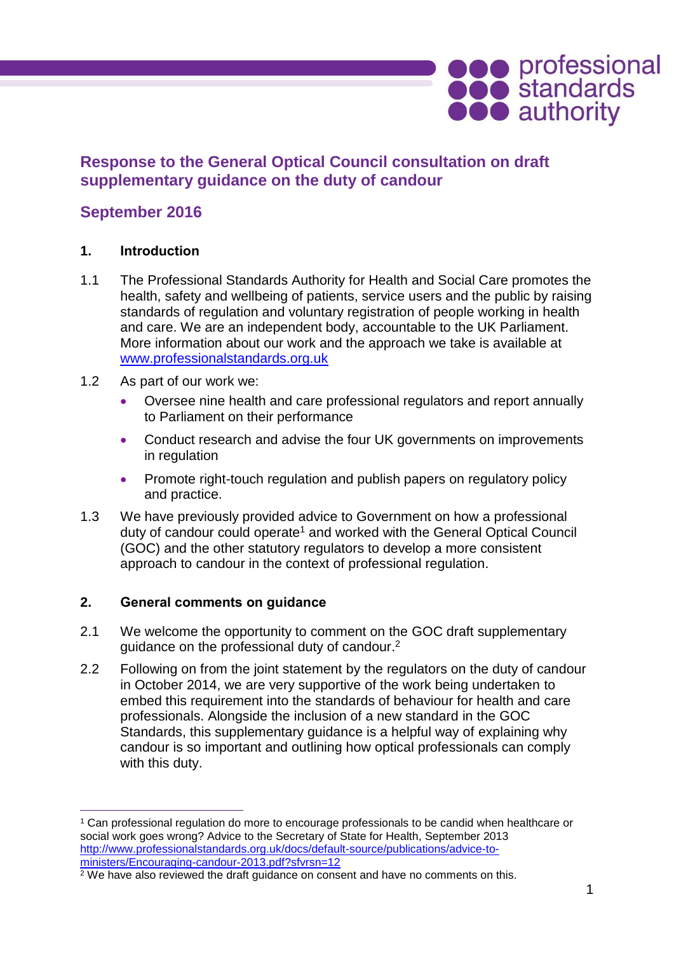# **Response to the General Optical Council consultation on draft supplementary guidance on the duty of candour**

## **September 2016**

### **1. Introduction**

- 1.1 The Professional Standards Authority for Health and Social Care promotes the health, safety and wellbeing of patients, service users and the public by raising standards of regulation and voluntary registration of people working in health and care. We are an independent body, accountable to the UK Parliament. More information about our work and the approach we take is available at [www.professionalstandards.org.uk](http://www.professionalstandards.org.uk/)
- 1.2 As part of our work we:
	- Oversee nine health and care professional regulators and report annually to Parliament on their performance
	- Conduct research and advise the four UK governments on improvements in regulation
	- Promote right-touch regulation and publish papers on regulatory policy and practice.
- 1.3 We have previously provided advice to Government on how a professional duty of candour could operate<sup>1</sup> and worked with the General Optical Council (GOC) and the other statutory regulators to develop a more consistent approach to candour in the context of professional regulation.

#### **2. General comments on guidance**

 $\overline{a}$ 

- 2.1 We welcome the opportunity to comment on the GOC draft supplementary guidance on the professional duty of candour.<sup>2</sup>
- 2.2 Following on from the joint statement by the regulators on the duty of candour in October 2014, we are very supportive of the work being undertaken to embed this requirement into the standards of behaviour for health and care professionals. Alongside the inclusion of a new standard in the GOC Standards, this supplementary guidance is a helpful way of explaining why candour is so important and outlining how optical professionals can comply with this duty.

**OCO** professional<br> **OCO** authority

<sup>&</sup>lt;sup>1</sup> Can professional regulation do more to encourage professionals to be candid when healthcare or social work goes wrong? Advice to the Secretary of State for Health, September 2013 [http://www.professionalstandards.org.uk/docs/default-source/publications/advice-to](http://www.professionalstandards.org.uk/docs/default-source/publications/advice-to-ministers/Encouraging-candour-2013.pdf?sfvrsn=12)[ministers/Encouraging-candour-2013.pdf?sfvrsn=12](http://www.professionalstandards.org.uk/docs/default-source/publications/advice-to-ministers/Encouraging-candour-2013.pdf?sfvrsn=12)

<sup>&</sup>lt;sup>2</sup> We have also reviewed the draft guidance on consent and have no comments on this.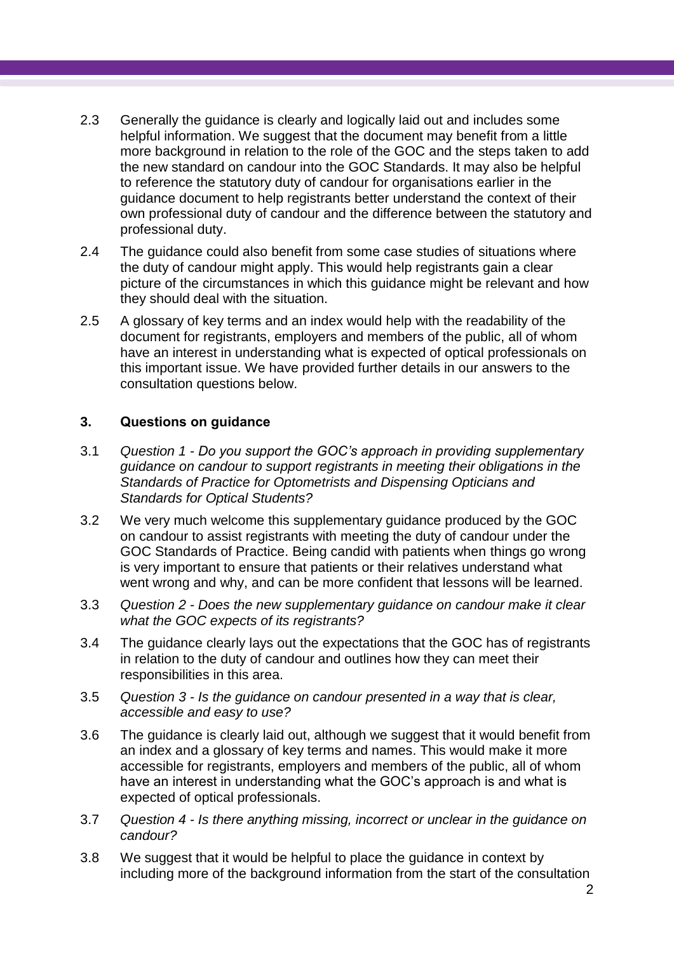- 2.3 Generally the guidance is clearly and logically laid out and includes some helpful information. We suggest that the document may benefit from a little more background in relation to the role of the GOC and the steps taken to add the new standard on candour into the GOC Standards. It may also be helpful to reference the statutory duty of candour for organisations earlier in the guidance document to help registrants better understand the context of their own professional duty of candour and the difference between the statutory and professional duty.
- 2.4 The guidance could also benefit from some case studies of situations where the duty of candour might apply. This would help registrants gain a clear picture of the circumstances in which this guidance might be relevant and how they should deal with the situation.
- 2.5 A glossary of key terms and an index would help with the readability of the document for registrants, employers and members of the public, all of whom have an interest in understanding what is expected of optical professionals on this important issue. We have provided further details in our answers to the consultation questions below.

### **3. Questions on guidance**

- 3.1 *Question 1 - Do you support the GOC's approach in providing supplementary guidance on candour to support registrants in meeting their obligations in the Standards of Practice for Optometrists and Dispensing Opticians and Standards for Optical Students?*
- 3.2 We very much welcome this supplementary guidance produced by the GOC on candour to assist registrants with meeting the duty of candour under the GOC Standards of Practice. Being candid with patients when things go wrong is very important to ensure that patients or their relatives understand what went wrong and why, and can be more confident that lessons will be learned.
- 3.3 *Question 2 - Does the new supplementary guidance on candour make it clear what the GOC expects of its registrants?*
- 3.4 The guidance clearly lays out the expectations that the GOC has of registrants in relation to the duty of candour and outlines how they can meet their responsibilities in this area.
- 3.5 *Question 3 - Is the guidance on candour presented in a way that is clear, accessible and easy to use?*
- 3.6 The guidance is clearly laid out, although we suggest that it would benefit from an index and a glossary of key terms and names. This would make it more accessible for registrants, employers and members of the public, all of whom have an interest in understanding what the GOC's approach is and what is expected of optical professionals.
- 3.7 *Question 4 - Is there anything missing, incorrect or unclear in the guidance on candour?*
- 3.8 We suggest that it would be helpful to place the guidance in context by including more of the background information from the start of the consultation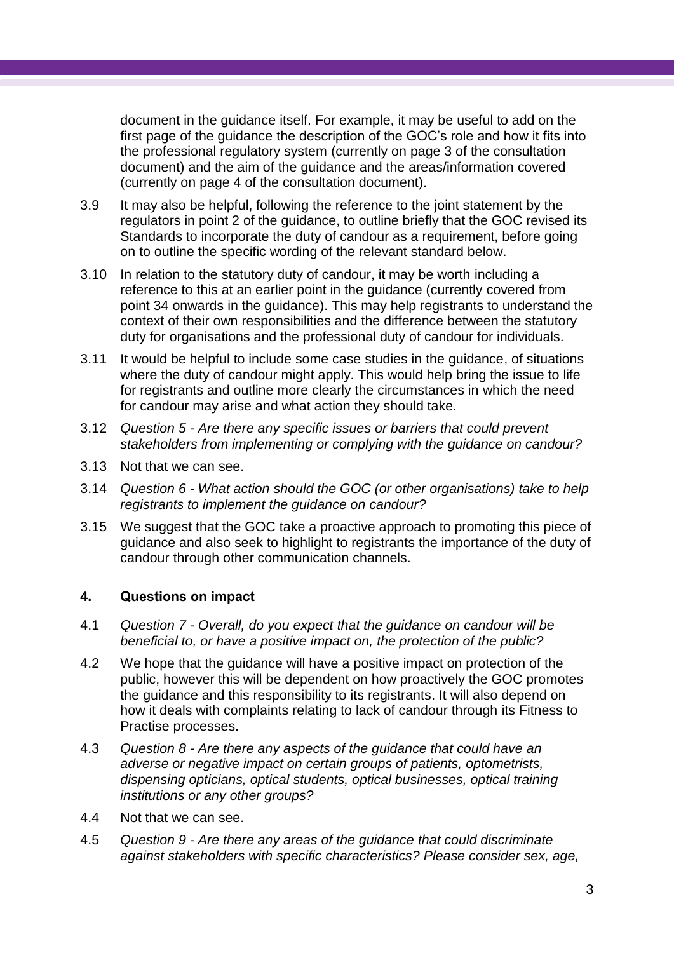document in the guidance itself. For example, it may be useful to add on the first page of the guidance the description of the GOC's role and how it fits into the professional regulatory system (currently on page 3 of the consultation document) and the aim of the guidance and the areas/information covered (currently on page 4 of the consultation document).

- 3.9 It may also be helpful, following the reference to the joint statement by the regulators in point 2 of the guidance, to outline briefly that the GOC revised its Standards to incorporate the duty of candour as a requirement, before going on to outline the specific wording of the relevant standard below.
- 3.10 In relation to the statutory duty of candour, it may be worth including a reference to this at an earlier point in the guidance (currently covered from point 34 onwards in the guidance). This may help registrants to understand the context of their own responsibilities and the difference between the statutory duty for organisations and the professional duty of candour for individuals.
- 3.11 It would be helpful to include some case studies in the guidance, of situations where the duty of candour might apply. This would help bring the issue to life for registrants and outline more clearly the circumstances in which the need for candour may arise and what action they should take.
- 3.12 *Question 5 - Are there any specific issues or barriers that could prevent stakeholders from implementing or complying with the guidance on candour?*
- 3.13 Not that we can see.
- 3.14 *Question 6 - What action should the GOC (or other organisations) take to help registrants to implement the guidance on candour?*
- 3.15 We suggest that the GOC take a proactive approach to promoting this piece of guidance and also seek to highlight to registrants the importance of the duty of candour through other communication channels.

#### **4. Questions on impact**

- 4.1 *Question 7 - Overall, do you expect that the guidance on candour will be beneficial to, or have a positive impact on, the protection of the public?*
- 4.2 We hope that the guidance will have a positive impact on protection of the public, however this will be dependent on how proactively the GOC promotes the guidance and this responsibility to its registrants. It will also depend on how it deals with complaints relating to lack of candour through its Fitness to Practise processes.
- 4.3 *Question 8 - Are there any aspects of the guidance that could have an adverse or negative impact on certain groups of patients, optometrists, dispensing opticians, optical students, optical businesses, optical training institutions or any other groups?*
- 4.4 Not that we can see.
- 4.5 *Question 9 - Are there any areas of the guidance that could discriminate against stakeholders with specific characteristics? Please consider sex, age,*